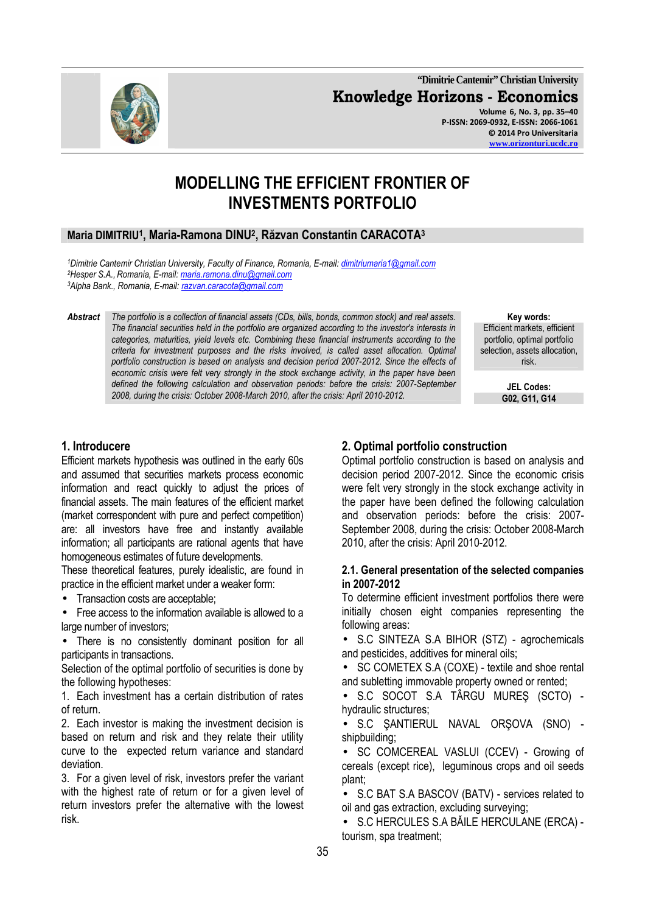**"Dimitrie Cantemir" Christian University Knowledge Horizons - Economics Volume 6, No. 3, pp. 35–40 P-ISSN: 2069-0932, E-ISSN: 2066-1061 © 2014 Pro Universitaria www.orizonturi.ucdc.ro**

# **MODELLING THE EFFICIENT FRONTIER OF INVESTMENTS PORTFOLIO**

## **Maria DIMITRIU<sup>1</sup> , Maria-Ramona DINU<sup>2</sup> , Răzvan Constantin CARACOTA<sup>3</sup>**

*<sup>1</sup>Dimitrie Cantemir Christian University, Faculty of Finance, Romania, E-mail: dimitriumaria1@gmail.com <sup>2</sup>Hesper S.A.,Romania, E-mail: maria.ramona.dinu@gmail.com <sup>3</sup>Alpha Bank., Romania, E-mail: razvan.caracota@gmail.com*

*Abstract The portfolio is a collection of financial assets (CDs, bills, bonds, common stock) and real assets. The financial securities held in the portfolio are organized according to the investor's interests in categories, maturities, yield levels etc. Combining these financial instruments according to the criteria for investment purposes and the risks involved, is called asset allocation. Optimal portfolio construction is based on analysis and decision period 2007-2012. Since the effects of economic crisis were felt very strongly in the stock exchange activity, in the paper have been defined the following calculation and observation periods: before the crisis: 2007-September*  2008, during the crisis: October 2008-March 2010, after the crisis: April 2010-2012.

**Key words:**  Efficient markets, efficient portfolio, optimal portfolio selection, assets allocation, risk.

**JEL Codes:**

## **1. Introducere**

Efficient markets hypothesis was outlined in the early 60s and assumed that securities markets process economic information and react quickly to adjust the prices of financial assets. The main features of the efficient market (market correspondent with pure and perfect competition) are: all investors have free and instantly available information; all participants are rational agents that have homogeneous estimates of future developments.

These theoretical features, purely idealistic, are found in practice in the efficient market under a weaker form:

• Transaction costs are acceptable;

• Free access to the information available is allowed to a large number of investors:

• There is no consistently dominant position for all participants in transactions.

Selection of the optimal portfolio of securities is done by the following hypotheses:

1. Each investment has a certain distribution of rates of return.

2. Each investor is making the investment decision is based on return and risk and they relate their utility curve to the expected return variance and standard deviation.

3. For a given level of risk, investors prefer the variant with the highest rate of return or for a given level of return investors prefer the alternative with the lowest risk.

## **2. Optimal portfolio construction**

Optimal portfolio construction is based on analysis and decision period 2007-2012. Since the economic crisis were felt very strongly in the stock exchange activity in the paper have been defined the following calculation and observation periods: before the crisis: 2007- September 2008, during the crisis: October 2008-March 2010, after the crisis: April 2010-2012.

#### **2.1. General presentation of the selected companies in 2007-2012**

To determine efficient investment portfolios there were initially chosen eight companies representing the following areas:

• S.C SINTEZA S.A BIHOR (STZ) - agrochemicals and pesticides, additives for mineral oils;

• SC COMETEX S.A (COXE) - textile and shoe rental and subletting immovable property owned or rented;

• S.C SOCOT S.A TÂRGU MUREŞ (SCTO) hydraulic structures;

• S.C ŞANTIERUL NAVAL ORŞOVA (SNO) shipbuilding;

• SC COMCEREAL VASLUI (CCEV) - Growing of cereals (except rice), leguminous crops and oil seeds plant;

• S.C BAT S.A BASCOV (BATV) - services related to oil and gas extraction, excluding surveying;

• S.C HERCULES S.A BĂILE HERCULANE (ERCA) tourism, spa treatment;

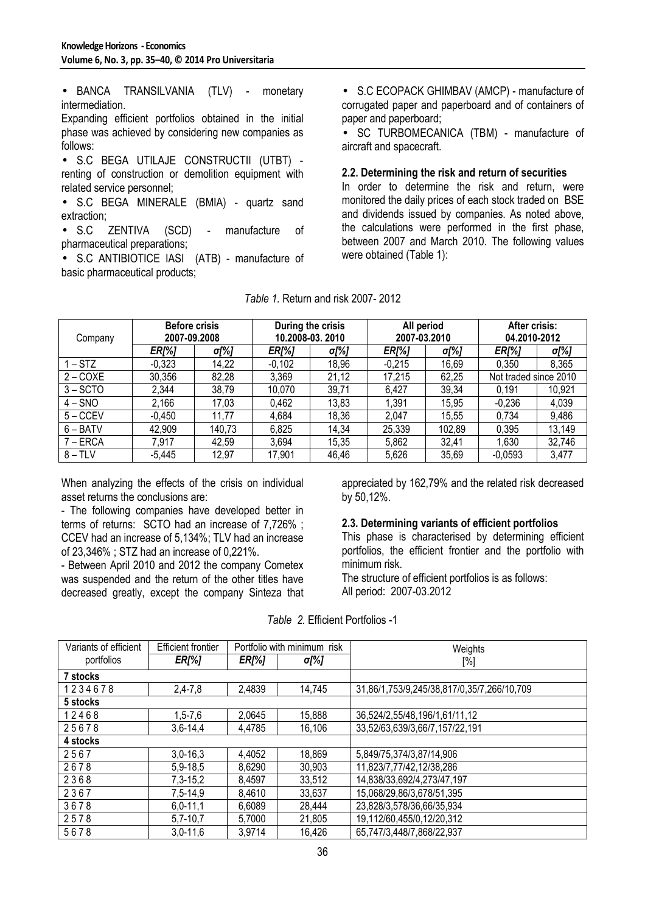• BANCA TRANSILVANIA (TLV) - monetary intermediation.

Expanding efficient portfolios obtained in the initial phase was achieved by considering new companies as follows:

• S.C BEGA UTILAJE CONSTRUCTII (UTBT) renting of construction or demolition equipment with related service personnel;

• S.C BEGA MINERALE (BMIA) - quartz sand extraction;

• S.C ZENTIVA (SCD) - manufacture of pharmaceutical preparations;

• S.C ANTIBIOTICE IASI (ATB) - manufacture of basic pharmaceutical products;

• S.C ECOPACK GHIMBAV (AMCP) - manufacture of corrugated paper and paperboard and of containers of paper and paperboard;

• SC TURBOMECANICA (TBM) - manufacture of aircraft and spacecraft.

#### **2.2. Determining the risk and return of securities**

In order to determine the risk and return, were monitored the daily prices of each stock traded on BSE and dividends issued by companies. As noted above, the calculations were performed in the first phase, between 2007 and March 2010. The following values were obtained (Table 1):

| Company    | <b>Before crisis</b><br>2007-09.2008 |        | During the crisis<br>10.2008-03.2010 |       | All period<br>2007-03.2010 |        | After crisis:<br>04.2010-2012 |        |
|------------|--------------------------------------|--------|--------------------------------------|-------|----------------------------|--------|-------------------------------|--------|
|            | <b>ER[%]</b>                         | σ[%]   | <b>ER[%]</b>                         | σ[%]  | <b>ER[%]</b>               | σ[%]   | <b>ER[%]</b>                  | σ[%]   |
| $1 - STZ$  | $-0,323$                             | 14,22  | $-0,102$                             | 18,96 | $-0.215$                   | 16,69  | 0.350                         | 8,365  |
| $2 - COXE$ | 30,356                               | 82,28  | 3,369                                | 21,12 | 17,215                     | 62,25  | Not traded since 2010         |        |
| $3 - SCTO$ | 2,344                                | 38,79  | 10,070                               | 39,71 | 6,427                      | 39,34  | 0.191                         | 10,921 |
| $4 - SNO$  | 2,166                                | 17,03  | 0,462                                | 13,83 | 1,391                      | 15,95  | $-0,236$                      | 4,039  |
| $5 - CCEV$ | $-0.450$                             | 11,77  | 4,684                                | 18,36 | 2,047                      | 15,55  | 0,734                         | 9,486  |
| $6 - BATV$ | 42,909                               | 140,73 | 6,825                                | 14,34 | 25,339                     | 102,89 | 0,395                         | 13,149 |
| $7 - ERCA$ | 7,917                                | 42,59  | 3,694                                | 15,35 | 5,862                      | 32,41  | ,630                          | 32,746 |
| $8 - TLV$  | $-5,445$                             | 12,97  | 17,901                               | 46,46 | 5,626                      | 35,69  | $-0,0593$                     | 3,477  |

*Table 1.* Return and risk 2007- 2012

When analyzing the effects of the crisis on individual asset returns the conclusions are:

- The following companies have developed better in terms of returns: SCTO had an increase of 7,726% ; CCEV had an increase of 5,134%; TLV had an increase of 23,346% ; STZ had an increase of 0,221%.

- Between April 2010 and 2012 the company Cometex was suspended and the return of the other titles have decreased greatly, except the company Sinteza that appreciated by 162,79% and the related risk decreased by 50,12%.

#### **2.3. Determining variants of efficient portfolios**

This phase is characterised by determining efficient portfolios, the efficient frontier and the portfolio with minimum risk.

The structure of efficient portfolios is as follows: All period: 2007-03.2012

| Variants of efficient | <b>Efficient frontier</b><br>Portfolio with minimum risk |              |        | Weights                                    |
|-----------------------|----------------------------------------------------------|--------------|--------|--------------------------------------------|
| portfolios            | <b>ER[%]</b>                                             | <b>ER[%]</b> | σ[%]   | [%]                                        |
| 7 stocks              |                                                          |              |        |                                            |
| 1234678               | $2,4 - 7,8$                                              | 2,4839       | 14,745 | 31,86/1,753/9,245/38,817/0,35/7,266/10,709 |
| 5 stocks              |                                                          |              |        |                                            |
| 12468                 | $1,5 - 7,6$                                              | 2,0645       | 15,888 | 36,524/2,55/48,196/1,61/11,12              |
| 25678                 | $3,6 - 14,4$                                             | 4.4785       | 16,106 | 33,52/63,639/3,66/7,157/22,191             |
| 4 stocks              |                                                          |              |        |                                            |
| 2567                  | $3,0-16,3$                                               | 4,4052       | 18,869 | 5,849/75,374/3,87/14,906                   |
| 2678                  | 5,9-18,5                                                 | 8,6290       | 30,903 | 11,823/7,77/42,12/38,286                   |
| 2368                  | $7,3-15,2$                                               | 8,4597       | 33,512 | 14,838/33,692/4,273/47,197                 |
| 2367                  | 7,5-14,9                                                 | 8,4610       | 33,637 | 15,068/29,86/3,678/51,395                  |
| 3678                  | $6,0-11,1$                                               | 6,6089       | 28,444 | 23,828/3,578/36,66/35,934                  |
| 2578                  | $5,7-10,7$                                               | 5,7000       | 21,805 | 19,112/60,455/0,12/20,312                  |
| 5678                  | $3,0-11,6$                                               | 3,9714       | 16,426 | 65,747/3,448/7,868/22,937                  |

*Table 2.* Efficient Portfolios -1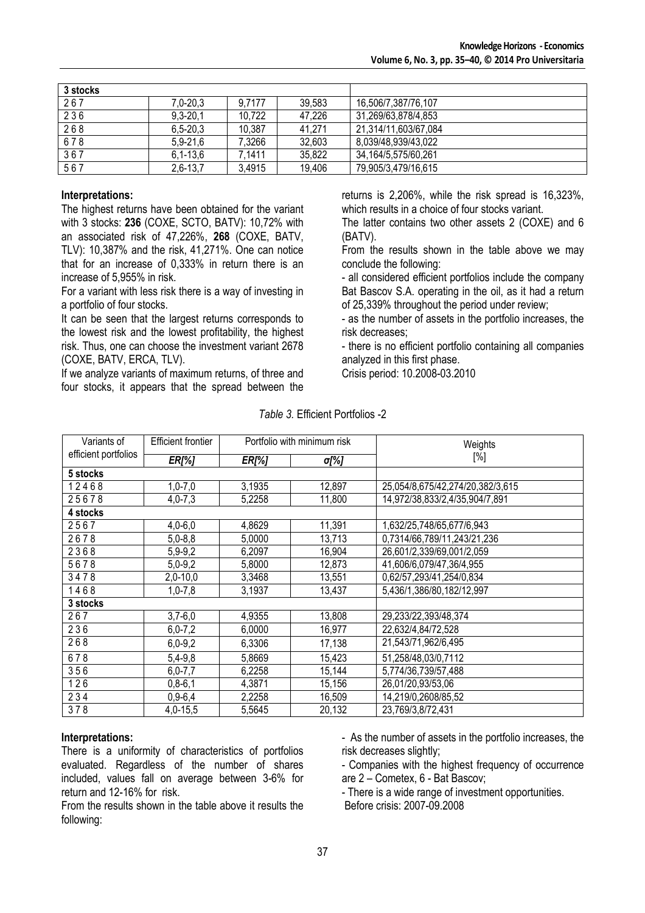| 3 stocks |                |        |        |                        |
|----------|----------------|--------|--------|------------------------|
| 267      | 7.0-20.3       | 9.7177 | 39.583 | 16,506/7,387/76,107    |
| 236      | $9,3 - 20,1$   | 10,722 | 47,226 | 31,269/63,878/4,853    |
| 268      | $6, 5 - 20, 3$ | 10,387 | 41.271 | 21,314/11,603/67,084   |
| 678      | $5.9 - 21.6$   | 7.3266 | 32,603 | 8,039/48,939/43,022    |
| 367      | $6, 1 - 13, 6$ | 7.1411 | 35,822 | 34, 164/5, 575/60, 261 |
| 567      | $2,6-13,7$     | 3,4915 | 19.406 | 79,905/3,479/16,615    |

#### **Interpretations:**

The highest returns have been obtained for the variant with 3 stocks: **236** (COXE, SCTO, BATV): 10,72% with an associated risk of 47,226%, **268** (COXE, BATV, TLV): 10,387% and the risk, 41,271%. One can notice that for an increase of 0,333% in return there is an increase of 5,955% in risk.

For a variant with less risk there is a way of investing in a portfolio of four stocks.

It can be seen that the largest returns corresponds to the lowest risk and the lowest profitability, the highest risk. Thus, one can choose the investment variant 2678 (COXE, BATV, ERCA, TLV).

If we analyze variants of maximum returns, of three and four stocks, it appears that the spread between the

returns is 2,206%, while the risk spread is 16,323%, which results in a choice of four stocks variant.

The latter contains two other assets 2 (COXE) and 6 (BATV).

From the results shown in the table above we may conclude the following:

- all considered efficient portfolios include the company Bat Bascov S.A. operating in the oil, as it had a return of 25,339% throughout the period under review;

- as the number of assets in the portfolio increases, the risk decreases;

- there is no efficient portfolio containing all companies analyzed in this first phase.

Crisis period: 10.2008-03.2010

| Variants of | <b>Efficient frontier</b>                            |        | Portfolio with minimum risk | Weights                          |
|-------------|------------------------------------------------------|--------|-----------------------------|----------------------------------|
|             | efficient portfolios<br><b>ER[%]</b><br><b>ER[%]</b> |        | σ[%]                        | $[\%]$                           |
| 5 stocks    |                                                      |        |                             |                                  |
| 12468       | $1,0 - 7,0$                                          | 3,1935 | 12,897                      | 25,054/8,675/42,274/20,382/3,615 |
| 25678       | $4,0 - 7,3$                                          | 5,2258 | 11,800                      | 14,972/38,833/2,4/35,904/7,891   |
| 4 stocks    |                                                      |        |                             |                                  |
| 2567        | $4,0 - 6,0$                                          | 4,8629 | 11,391                      | 1,632/25,748/65,677/6,943        |
| 2678        | $5,0-8,8$                                            | 5,0000 | 13,713                      | 0,7314/66,789/11,243/21,236      |
| 2368        | $5,9-9,2$                                            | 6,2097 | 16,904                      | 26,601/2,339/69,001/2,059        |
| 5678        | $5,0-9,2$                                            | 5,8000 | 12,873                      | 41,606/6,079/47,36/4,955         |
| 3478        | $2,0-10,0$                                           | 3,3468 | 13,551                      | 0,62/57,293/41,254/0,834         |
| 1468        | $1,0 - 7,8$                                          | 3,1937 | 13,437                      | 5,436/1,386/80,182/12,997        |
| 3 stocks    |                                                      |        |                             |                                  |
| 267         | $3,7-6,0$                                            | 4,9355 | 13,808                      | 29,233/22,393/48,374             |
| 236         | $6,0 - 7,2$                                          | 6,0000 | 16,977                      | 22,632/4,84/72,528               |
| 268         | $6,0-9,2$                                            | 6,3306 | 17,138                      | 21,543/71,962/6,495              |
| 678         | $5,4-9,8$                                            | 5,8669 | 15,423                      | 51,258/48,03/0,7112              |
| 356         | $6,0 - 7,7$                                          | 6,2258 | 15,144                      | 5,774/36,739/57,488              |
| 126         | $0,8-6,1$                                            | 4,3871 | 15,156                      | 26,01/20,93/53,06                |
| 234         | $0,9 - 6,4$                                          | 2,2258 | 16,509                      | 14,219/0,2608/85,52              |
| 378         | $4,0-15,5$                                           | 5,5645 | 20,132                      | 23,769/3,8/72,431                |

#### *Table 3.* Efficient Portfolios -2

#### **Interpretations:**

There is a uniformity of characteristics of portfolios evaluated. Regardless of the number of shares included, values fall on average between 3-6% for return and 12-16% for risk.

From the results shown in the table above it results the following:

- As the number of assets in the portfolio increases, the risk decreases slightly;

- Companies with the highest frequency of occurrence are 2 – Cometex, 6 - Bat Bascov;

- There is a wide range of investment opportunities.

Before crisis: 2007-09.2008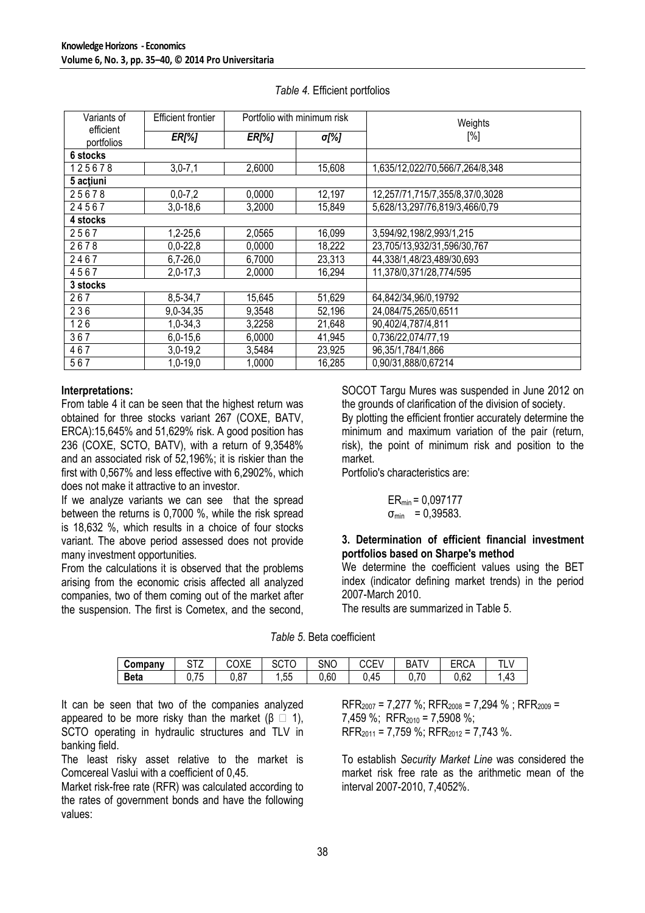| Variants of             | Efficient frontier | Portfolio with minimum risk |        | Weights                         |
|-------------------------|--------------------|-----------------------------|--------|---------------------------------|
| efficient<br>portfolios | <b>ER[%]</b>       | <b>ER[%]</b>                | σ[%]   | [%]                             |
| 6 stocks                |                    |                             |        |                                 |
| 125678                  | $3,0 - 7,1$        | 2,6000                      | 15,608 | 1,635/12,022/70,566/7,264/8,348 |
| 5 actiuni               |                    |                             |        |                                 |
| 25678                   | $0, 0 - 7, 2$      | 0,0000                      | 12,197 | 12,257/71,715/7,355/8,37/0,3028 |
| 24567                   | $3,0-18,6$         | 3,2000                      | 15,849 | 5,628/13,297/76,819/3,466/0,79  |
| 4 stocks                |                    |                             |        |                                 |
| 2567                    | $1,2 - 25,6$       | 2,0565                      | 16,099 | 3,594/92,198/2,993/1,215        |
| 2678                    | $0,0-22,8$         | 0,0000                      | 18,222 | 23,705/13,932/31,596/30,767     |
| 2467                    | $6,7-26,0$         | 6,7000                      | 23,313 | 44,338/1,48/23,489/30,693       |
| 4567                    | $2,0-17,3$         | 2,0000                      | 16,294 | 11,378/0,371/28,774/595         |
| 3 stocks                |                    |                             |        |                                 |
| 267                     | 8,5-34,7           | 15,645                      | 51,629 | 64,842/34,96/0,19792            |
| 236                     | 9,0-34,35          | 9,3548                      | 52,196 | 24,084/75,265/0,6511            |
| 126                     | 1,0-34,3           | 3,2258                      | 21,648 | 90,402/4,787/4,811              |
| 367                     | $6,0-15,6$         | 6,0000                      | 41,945 | 0,736/22,074/77,19              |
| 467                     | $3,0-19,2$         | 3,5484                      | 23,925 | 96, 35/1, 784/1, 866            |
| 567                     | 1,0-19,0           | 1,0000                      | 16,285 | 0.90/31.888/0.67214             |

#### Table 4. Efficient portfolios

#### Interpretations:

From table 4 it can be seen that the highest return was obtained for three stocks variant 267 (COXE, BATV, ERCA):15,645% and 51,629% risk. A good position has 236 (COXE, SCTO, BATV), with a return of 9,3548% and an associated risk of 52,196%; it is riskier than the first with 0.567% and less effective with 6.2902%, which does not make it attractive to an investor.

If we analyze variants we can see that the spread between the returns is 0.7000 %, while the risk spread is 18,632 %, which results in a choice of four stocks variant. The above period assessed does not provide many investment opportunities.

From the calculations it is observed that the problems arising from the economic crisis affected all analyzed companies, two of them coming out of the market after the suspension. The first is Cometex, and the second, SOCOT Tarqu Mures was suspended in June 2012 on the grounds of clarification of the division of society.

By plotting the efficient frontier accurately determine the minimum and maximum variation of the pair (return, risk), the point of minimum risk and position to the market.

Portfolio's characteristics are:

$$
ER_{min} = 0.097177
$$
  
\n $\sigma_{min} = 0.39583.$ 

## 3. Determination of efficient financial investment portfolios based on Sharpe's method

We determine the coefficient values using the BET index (indicator defining market trends) in the period 2007-March 2010.

The results are summarized in Table 5.

|  |  | Table 5. Beta coefficient |
|--|--|---------------------------|
|--|--|---------------------------|

| Company     | $\sim$ $\sim$ $\sim$<br>14<br>້    | COXE | 20 I U    | <b>SNC</b> | $\sim$<br>►<br>◡◡⊏ | <b>BAT\</b> | rne i<br>ERUA | <b>TI</b> |
|-------------|------------------------------------|------|-----------|------------|--------------------|-------------|---------------|-----------|
| <b>Beta</b> | $\overline{\phantom{a}}$<br>v. 1 J | 0,87 | --<br>ს.ს | 0,60       | 0.45               | 0,70        | 0,62          | .43       |

It can be seen that two of the companies analyzed appeared to be more risky than the market (B  $(1)$ . SCTO operating in hydraulic structures and TLV in banking field.

The least risky asset relative to the market is Comcereal Vaslui with a coefficient of 0.45.

Market risk-free rate (RFR) was calculated according to the rates of government bonds and have the following values:

 $RFR_{2007}$  = 7,277 %;  $RFR_{2008}$  = 7,294 %;  $RFR_{2009}$  = 7.459 %; RFR<sub>2010</sub> = 7,5908 %;  $RFR<sub>2011</sub> = 7.759$  %;  $RFR<sub>2012</sub> = 7.743$  %.

To establish Security Market Line was considered the market risk free rate as the arithmetic mean of the interval 2007-2010, 7,4052%.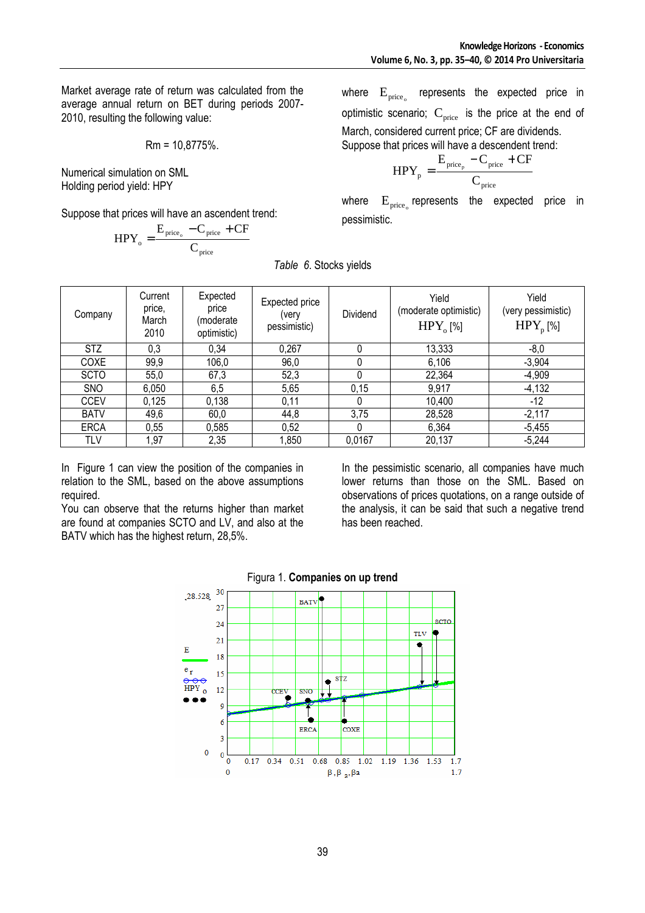Market average rate of return was calculated from the average annual return on BET during periods 2007- 2010, resulting the following value:

$$
Rm = 10,8775\%.
$$

Numerical simulation on SML Holding period yield: HPY

Suppose that prices will have an ascendent trend:

$$
HPY_{_o} = \frac{E_{\text{price}_o} - C_{\text{price}} + CF}{C_{\text{price}}}
$$

where  $E_{\text{price}}$ represents the expected price in optimistic scenario;  $C_{\text{price}}$  is the price at the end of March, considered current price; CF are dividends. Suppose that prices will have a descendent trend:

$$
HPY_p = \frac{E_{\text{price}_p} - C_{\text{price}} + CF}{C_{\text{price}}}
$$

where  $\mathrm{E_{prec_{o}}}$  represents the expected price in pessimistic.

| Company     | Current<br>price,<br>March<br>2010 | Expected<br>price<br>(moderate<br>optimistic) | Expected price<br>(very<br>pessimistic) | Dividend | Yield<br>(moderate optimistic)<br>$HPY_{o}[\%]$ | Yield<br>(very pessimistic)<br>$HPY_{n}[\%]$ |
|-------------|------------------------------------|-----------------------------------------------|-----------------------------------------|----------|-------------------------------------------------|----------------------------------------------|
| <b>STZ</b>  | 0,3                                | 0.34                                          | 0,267                                   | 0        | 13,333                                          | $-8,0$                                       |
| COXE        | 99,9                               | 106,0                                         | 96,0                                    | 0        | 6,106                                           | $-3,904$                                     |
| <b>SCTO</b> | 55,0                               | 67,3                                          | 52,3                                    | 0        | 22,364                                          | $-4,909$                                     |
| <b>SNO</b>  | 6,050                              | 6,5                                           | 5,65                                    | 0,15     | 9,917                                           | $-4,132$                                     |
| <b>CCEV</b> | 0,125                              | 0,138                                         | 0,11                                    | 0        | 10,400                                          | -12                                          |
| <b>BATV</b> | 49,6                               | 60,0                                          | 44,8                                    | 3,75     | 28,528                                          | $-2,117$                                     |
| <b>ERCA</b> | 0,55                               | 0,585                                         | 0,52                                    | 0        | 6,364                                           | $-5,455$                                     |
| TLV         | 1,97                               | 2,35                                          | 1,850                                   | 0,0167   | 20,137                                          | $-5,244$                                     |

*Table 6*. Stocks yields

In Figure 1 can view the position of the companies in relation to the SML, based on the above assumptions required.

You can observe that the returns higher than market are found at companies SCTO and LV, and also at the BATV which has the highest return, 28,5%.

In the pessimistic scenario, all companies have much lower returns than those on the SML. Based on observations of prices quotations, on a range outside of the analysis, it can be said that such a negative trend has been reached.



### Figura 1. **Companies on up trend**